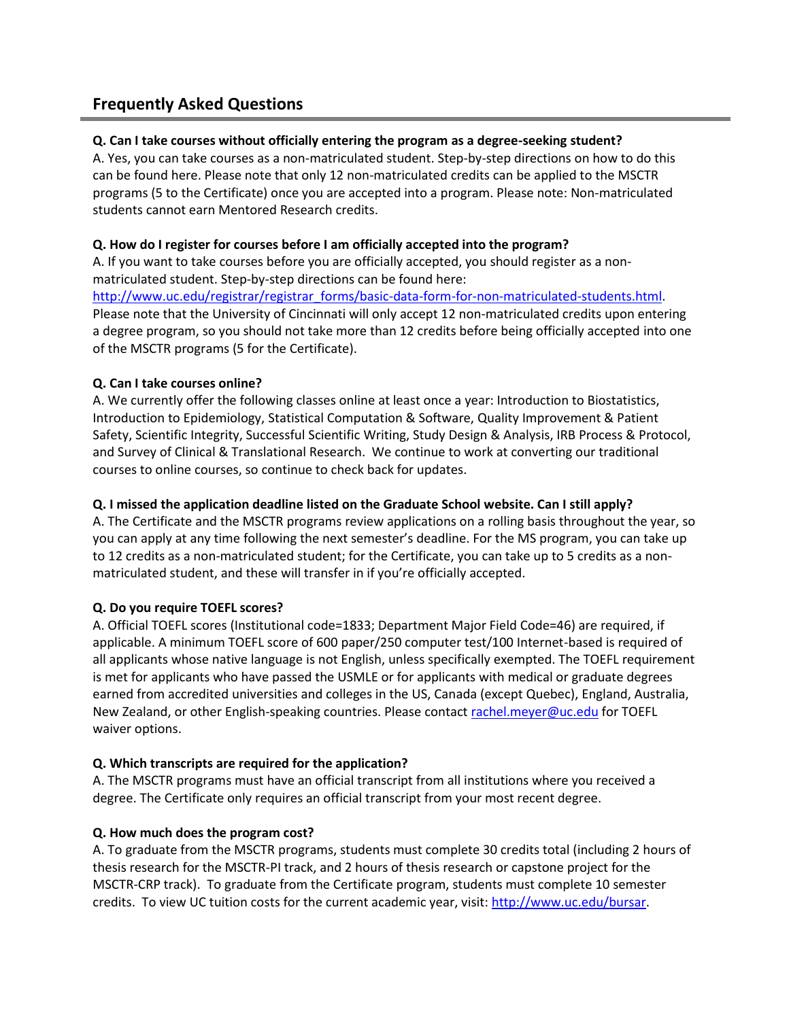# **Frequently Asked Questions**

# **Q. Can I take courses without officially entering the program as a degree-seeking student?**

A. Yes, you can take courses as a non-matriculated student. Step-by-step directions on how to do this can be found here. Please note that only 12 non-matriculated credits can be applied to the MSCTR programs (5 to the Certificate) once you are accepted into a program. Please note: Non-matriculated students cannot earn Mentored Research credits.

## **Q. How do I register for courses before I am officially accepted into the program?**

A. If you want to take courses before you are officially accepted, you should register as a nonmatriculated student. Step-by-step directions can be found here:

[http://www.uc.edu/registrar/registrar\\_forms/basic-data-form-for-non-matriculated-students.html.](http://www.uc.edu/registrar/registrar_forms/basic-data-form-for-non-matriculated-students.html) Please note that the University of Cincinnati will only accept 12 non-matriculated credits upon entering a degree program, so you should not take more than 12 credits before being officially accepted into one of the MSCTR programs (5 for the Certificate).

## **Q. Can I take courses online?**

A. We currently offer the following classes online at least once a year: Introduction to Biostatistics, Introduction to Epidemiology, Statistical Computation & Software, Quality Improvement & Patient Safety, Scientific Integrity, Successful Scientific Writing, Study Design & Analysis, IRB Process & Protocol, and Survey of Clinical & Translational Research. We continue to work at converting our traditional courses to online courses, so continue to check back for updates.

## **Q. I missed the application deadline listed on the Graduate School website. Can I still apply?**

A. The Certificate and the MSCTR programs review applications on a rolling basis throughout the year, so you can apply at any time following the next semester's deadline. For the MS program, you can take up to 12 credits as a non-matriculated student; for the Certificate, you can take up to 5 credits as a nonmatriculated student, and these will transfer in if you're officially accepted.

# **Q. Do you require TOEFL scores?**

A. Official TOEFL scores (Institutional code=1833; Department Major Field Code=46) are required, if applicable. A minimum TOEFL score of 600 paper/250 computer test/100 Internet-based is required of all applicants whose native language is not English, unless specifically exempted. The TOEFL requirement is met for applicants who have passed the USMLE or for applicants with medical or graduate degrees earned from accredited universities and colleges in the US, Canada (except Quebec), England, Australia, New Zealand, or other English-speaking countries. Please contac[t rachel.meyer@uc.edu](mailto:rachel.meyer@uc.edu) for TOEFL waiver options.

### **Q. Which transcripts are required for the application?**

A. The MSCTR programs must have an official transcript from all institutions where you received a degree. The Certificate only requires an official transcript from your most recent degree.

# **Q. How much does the program cost?**

A. To graduate from the MSCTR programs, students must complete 30 credits total (including 2 hours of thesis research for the MSCTR-PI track, and 2 hours of thesis research or capstone project for the MSCTR-CRP track). To graduate from the Certificate program, students must complete 10 semester credits. To view UC tuition costs for the current academic year, visit: [http://www.uc.edu/bursar.](http://www.uc.edu/bursar)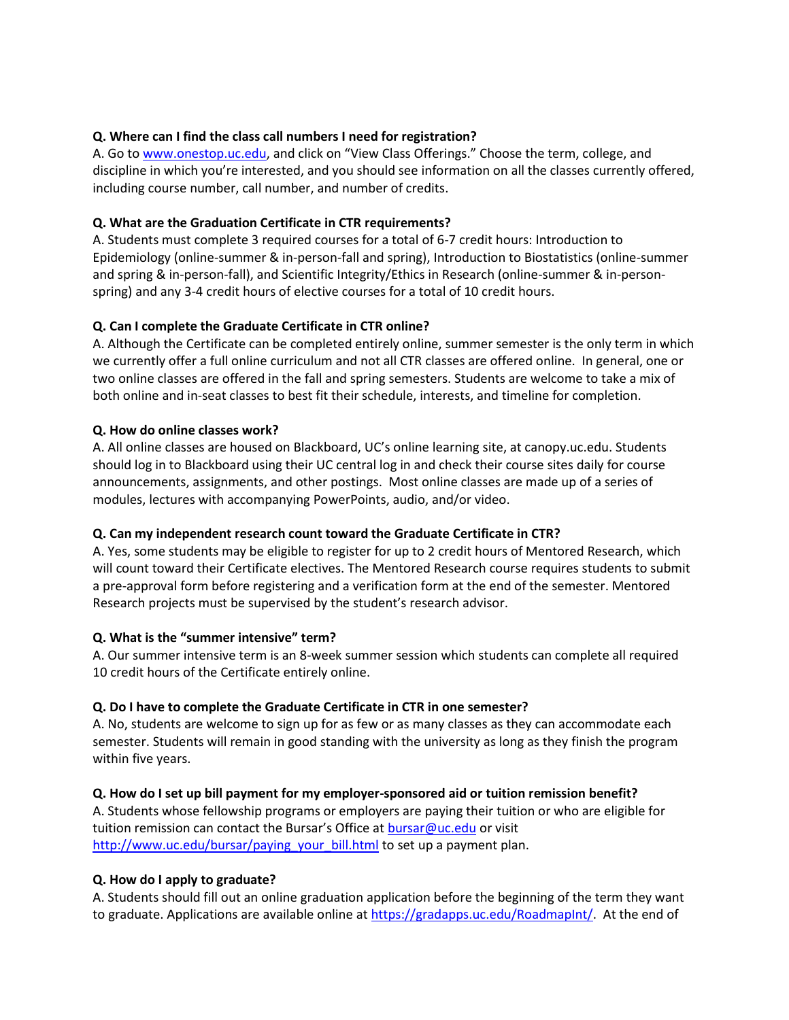## **Q. Where can I find the class call numbers I need for registration?**

A. Go to [www.onestop.uc.edu,](http://www.onestop.uc.edu/) and click on "View Class Offerings." Choose the term, college, and discipline in which you're interested, and you should see information on all the classes currently offered, including course number, call number, and number of credits.

## **Q. What are the Graduation Certificate in CTR requirements?**

A. Students must complete 3 required courses for a total of 6-7 credit hours: Introduction to Epidemiology (online-summer & in-person-fall and spring), Introduction to Biostatistics (online-summer and spring & in-person-fall), and Scientific Integrity/Ethics in Research (online-summer & in-personspring) and any 3-4 credit hours of elective courses for a total of 10 credit hours.

## **Q. Can I complete the Graduate Certificate in CTR online?**

A. Although the Certificate can be completed entirely online, summer semester is the only term in which we currently offer a full online curriculum and not all CTR classes are offered online. In general, one or two online classes are offered in the fall and spring semesters. Students are welcome to take a mix of both online and in-seat classes to best fit their schedule, interests, and timeline for completion.

### **Q. How do online classes work?**

A. All online classes are housed on Blackboard, UC's online learning site, at canopy.uc.edu. Students should log in to Blackboard using their UC central log in and check their course sites daily for course announcements, assignments, and other postings. Most online classes are made up of a series of modules, lectures with accompanying PowerPoints, audio, and/or video.

# **Q. Can my independent research count toward the Graduate Certificate in CTR?**

A. Yes, some students may be eligible to register for up to 2 credit hours of Mentored Research, which will count toward their Certificate electives. The Mentored Research course requires students to submit a pre-approval form before registering and a verification form at the end of the semester. Mentored Research projects must be supervised by the student's research advisor.

### **Q. What is the "summer intensive" term?**

A. Our summer intensive term is an 8-week summer session which students can complete all required 10 credit hours of the Certificate entirely online.

### **Q. Do I have to complete the Graduate Certificate in CTR in one semester?**

A. No, students are welcome to sign up for as few or as many classes as they can accommodate each semester. Students will remain in good standing with the university as long as they finish the program within five years.

### **Q. How do I set up bill payment for my employer-sponsored aid or tuition remission benefit?**

A. Students whose fellowship programs or employers are paying their tuition or who are eligible for tuition remission can contact the Bursar's Office at **[bursar@uc.edu](mailto:bursar@uc.edu)** or visit http://www.uc.edu/bursar/paying your bill.html to set up a payment plan.

### **Q. How do I apply to graduate?**

A. Students should fill out an online graduation application before the beginning of the term they want to graduate. Applications are available online at [https://gradapps.uc.edu/RoadmapInt/.](https://ucmail.uc.edu/owa/redir.aspx?SURL=s-plOVzR8O1c4eSiW757OD6lkcPpJZ-OGpZBYcZvLYfIRCWI7nDSCGgAdAB0AHAAcwA6AC8ALwBnAHIAYQBkAGEAcABwAHMALgB1AGMALgBlAGQAdQAvAFIAbwBhAGQAbQBhAHAASQBuAHQALwA.&URL=https%3a%2f%2fgradapps.uc.edu%2fRoadmapInt%2f) At the end of